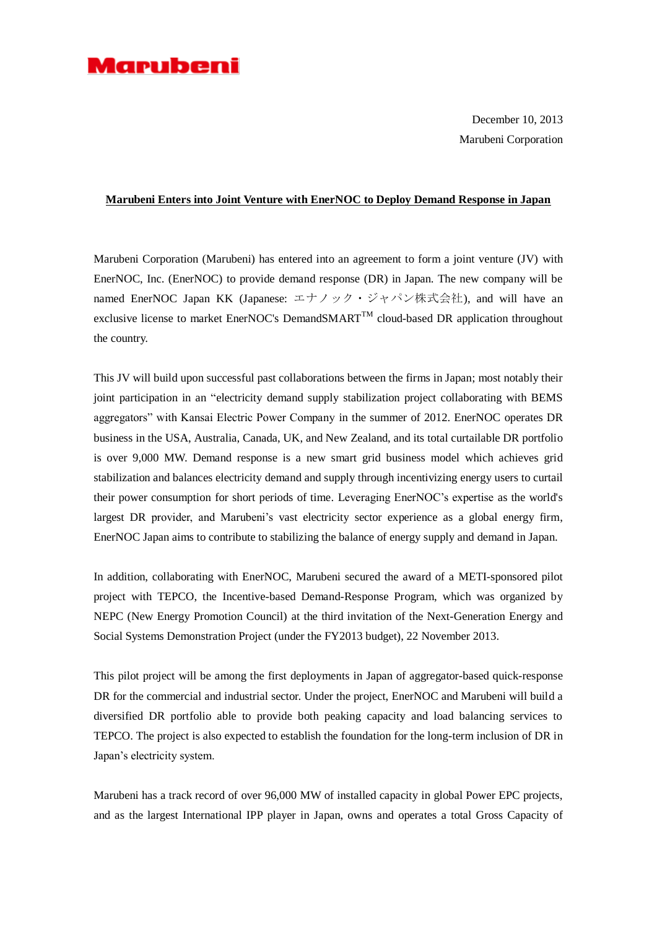## Marubeni

December 10, 2013 Marubeni Corporation

## **Marubeni Enters into Joint Venture with EnerNOC to Deploy Demand Response in Japan**

Marubeni Corporation (Marubeni) has entered into an agreement to form a joint venture (JV) with EnerNOC, Inc. (EnerNOC) to provide demand response (DR) in Japan. The new company will be named EnerNOC Japan KK (Japanese: エナノック・ジャパン株式会社), and will have an exclusive license to market EnerNOC's DemandSMART<sup>TM</sup> cloud-based DR application throughout the country.

This JV will build upon successful past collaborations between the firms in Japan; most notably their joint participation in an "electricity demand supply stabilization project collaborating with BEMS aggregators" with Kansai Electric Power Company in the summer of 2012. EnerNOC operates DR business in the USA, Australia, Canada, UK, and New Zealand, and its total curtailable DR portfolio is over 9,000 MW. Demand response is a new smart grid business model which achieves grid stabilization and balances electricity demand and supply through incentivizing energy users to curtail their power consumption for short periods of time. Leveraging EnerNOC's expertise as the world's largest DR provider, and Marubeni's vast electricity sector experience as a global energy firm, EnerNOC Japan aims to contribute to stabilizing the balance of energy supply and demand in Japan.

In addition, collaborating with EnerNOC, Marubeni secured the award of a METI-sponsored pilot project with TEPCO, the Incentive-based Demand-Response Program, which was organized by NEPC (New Energy Promotion Council) at the third invitation of the Next-Generation Energy and Social Systems Demonstration Project (under the FY2013 budget), 22 November 2013.

This pilot project will be among the first deployments in Japan of aggregator-based quick-response DR for the commercial and industrial sector. Under the project, EnerNOC and Marubeni will build a diversified DR portfolio able to provide both peaking capacity and load balancing services to TEPCO. The project is also expected to establish the foundation for the long-term inclusion of DR in Japan's electricity system.

Marubeni has a track record of over 96,000 MW of installed capacity in global Power EPC projects, and as the largest International IPP player in Japan, owns and operates a total Gross Capacity of